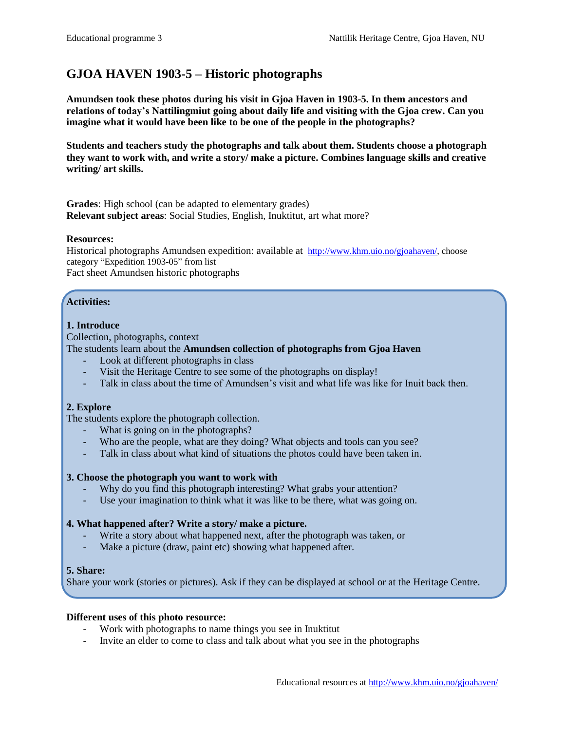# **GJOA HAVEN 1903-5 – Historic photographs**

**Amundsen took these photos during his visit in Gjoa Haven in 1903-5. In them ancestors and relations of today's Nattilingmiut going about daily life and visiting with the Gjoa crew. Can you imagine what it would have been like to be one of the people in the photographs?**

**Students and teachers study the photographs and talk about them. Students choose a photograph they want to work with, and write a story/ make a picture. Combines language skills and creative writing/ art skills.**

**Grades**: High school (can be adapted to elementary grades) **Relevant subject areas**: Social Studies, English, Inuktitut, art what more?

#### **Resources:**

Historical photographs Amundsen expedition: available at [http://www.khm.uio.no/gjoahaven/,](http://www.khm.uio.no/gjoahaven/) choose category "Expedition 1903-05" from list Fact sheet Amundsen historic photographs

## **Activities:**

#### **1. Introduce**

Collection, photographs, context

## The students learn about the **Amundsen collection of photographs from Gjoa Haven**

- Look at different photographs in class
- Visit the Heritage Centre to see some of the photographs on display!
- Talk in class about the time of Amundsen's visit and what life was like for Inuit back then.

#### **2. Explore**

The students explore the photograph collection.

- What is going on in the photographs?
- Who are the people, what are they doing? What objects and tools can you see?
- Talk in class about what kind of situations the photos could have been taken in.

#### **3. Choose the photograph you want to work with**

- Why do you find this photograph interesting? What grabs your attention?
- Use your imagination to think what it was like to be there, what was going on.

### **4. What happened after? Write a story/ make a picture.**

- Write a story about what happened next, after the photograph was taken, or
- Make a picture (draw, paint etc) showing what happened after.

#### **5. Share:**

Share your work (stories or pictures). Ask if they can be displayed at school or at the Heritage Centre.

#### **Different uses of this photo resource:**

- Work with photographs to name things you see in Inuktitut
- Invite an elder to come to class and talk about what you see in the photographs